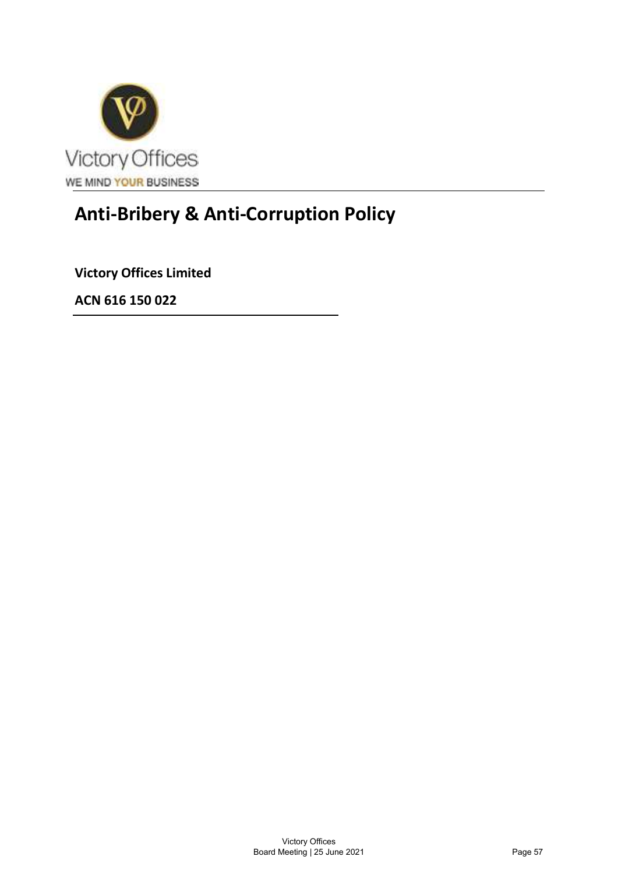

# Anti-Bribery & Anti-Corruption Policy

ACN 616 150 022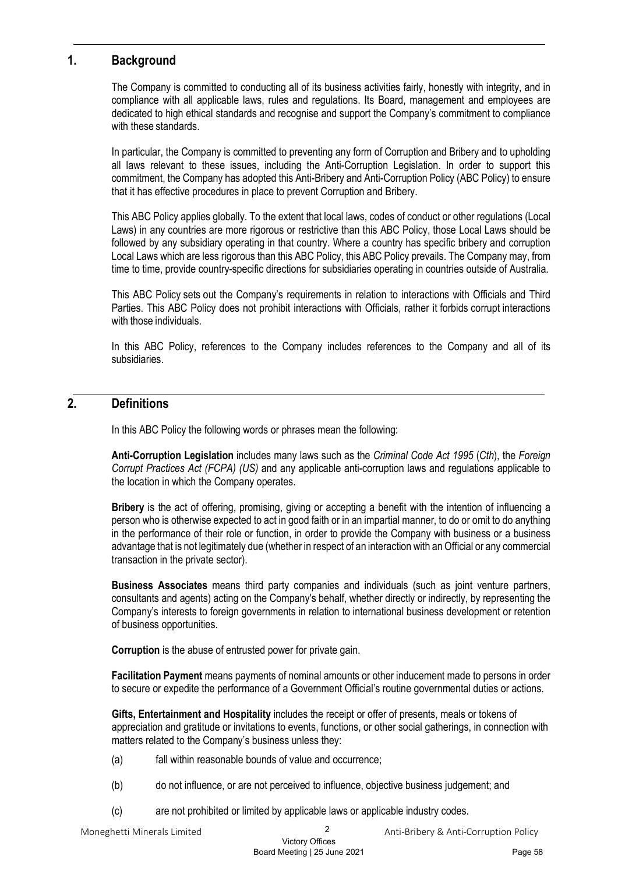# 1. Background

The Company is committed to conducting all of its business activities fairly, honestly with integrity, and in compliance with all applicable laws, rules and regulations. Its Board, management and employees are dedicated to high ethical standards and recognise and support the Company's commitment to compliance with these standards.

In particular, the Company is committed to preventing any form of Corruption and Bribery and to upholding all laws relevant to these issues, including the Anti-Corruption Legislation. In order to support this commitment, the Company has adopted this Anti-Bribery and Anti-Corruption Policy (ABC Policy) to ensure that it has effective procedures in place to prevent Corruption and Bribery.

This ABC Policy applies globally. To the extent that local laws, codes of conduct or other regulations (Local Laws) in any countries are more rigorous or restrictive than this ABC Policy, those Local Laws should be followed by any subsidiary operating in that country. Where a country has specific bribery and corruption Local Laws which are less rigorous than this ABC Policy, this ABC Policy prevails. The Company may, from time to time, provide country-specific directions for subsidiaries operating in countries outside of Australia.

This ABC Policy sets out the Company's requirements in relation to interactions with Officials and Third Parties. This ABC Policy does not prohibit interactions with Officials, rather it forbids corrupt interactions with those individuals.

In this ABC Policy, references to the Company includes references to the Company and all of its subsidiaries.

# 2. Definitions

In this ABC Policy the following words or phrases mean the following:

Anti-Corruption Legislation includes many laws such as the Criminal Code Act 1995 (Cth), the Foreign Corrupt Practices Act (FCPA) (US) and any applicable anti-corruption laws and regulations applicable to the location in which the Company operates.

Bribery is the act of offering, promising, giving or accepting a benefit with the intention of influencing a person who is otherwise expected to act in good faith or in an impartial manner, to do or omit to do anything in the performance of their role or function, in order to provide the Company with business or a business advantage that is not legitimately due (whether in respect of an interaction with an Official or any commercial transaction in the private sector).

Business Associates means third party companies and individuals (such as joint venture partners, consultants and agents) acting on the Company's behalf, whether directly or indirectly, by representing the Company's interests to foreign governments in relation to international business development or retention of business opportunities.

Corruption is the abuse of entrusted power for private gain.

Facilitation Payment means payments of nominal amounts or other inducement made to persons in order to secure or expedite the performance of a Government Official's routine governmental duties or actions.

Gifts, Entertainment and Hospitality includes the receipt or offer of presents, meals or tokens of appreciation and gratitude or invitations to events, functions, or other social gatherings, in connection with matters related to the Company's business unless they:

- (a) fall within reasonable bounds of value and occurrence;
- (b) do not influence, or are not perceived to influence, objective business judgement; and
- (c) are not prohibited or limited by applicable laws or applicable industry codes.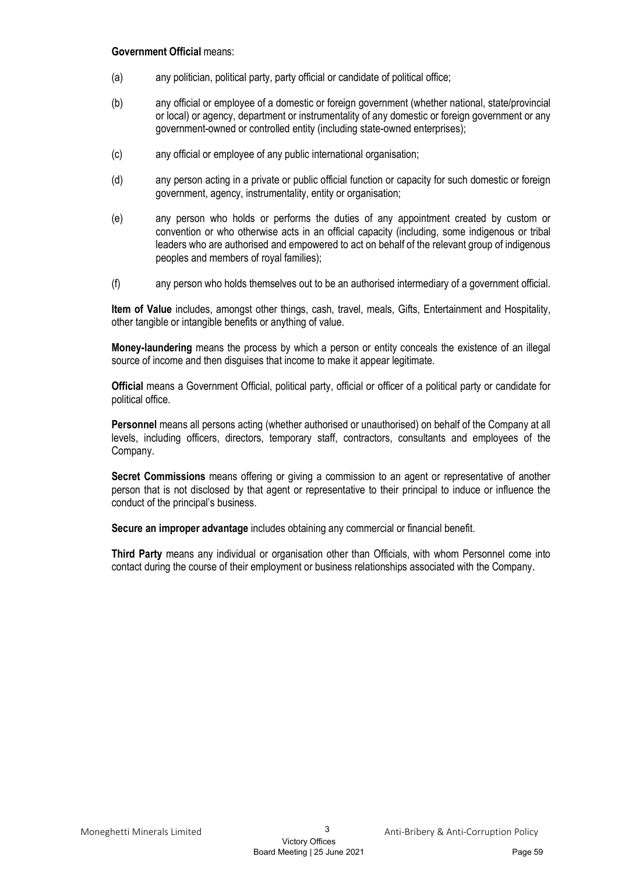#### Government Official means:

- (a) any politician, political party, party official or candidate of political office;
- (b) any official or employee of a domestic or foreign government (whether national, state/provincial or local) or agency, department or instrumentality of any domestic or foreign government or any government-owned or controlled entity (including state-owned enterprises);
- (c) any official or employee of any public international organisation;
- (d) any person acting in a private or public official function or capacity for such domestic or foreign government, agency, instrumentality, entity or organisation;
- (e) any person who holds or performs the duties of any appointment created by custom or convention or who otherwise acts in an official capacity (including, some indigenous or tribal leaders who are authorised and empowered to act on behalf of the relevant group of indigenous peoples and members of royal families);
- (f) any person who holds themselves out to be an authorised intermediary of a government official.

Item of Value includes, amongst other things, cash, travel, meals, Gifts, Entertainment and Hospitality, other tangible or intangible benefits or anything of value.

Money-laundering means the process by which a person or entity conceals the existence of an illegal source of income and then disquises that income to make it appear legitimate.

Official means a Government Official, political party, official or officer of a political party or candidate for political office.

Personnel means all persons acting (whether authorised or unauthorised) on behalf of the Company at all levels, including officers, directors, temporary staff, contractors, consultants and employees of the Company.

Secret Commissions means offering or giving a commission to an agent or representative of another person that is not disclosed by that agent or representative to their principal to induce or influence the conduct of the principal's business.

Secure an improper advantage includes obtaining any commercial or financial benefit.

Third Party means any individual or organisation other than Officials, with whom Personnel come into contact during the course of their employment or business relationships associated with the Company.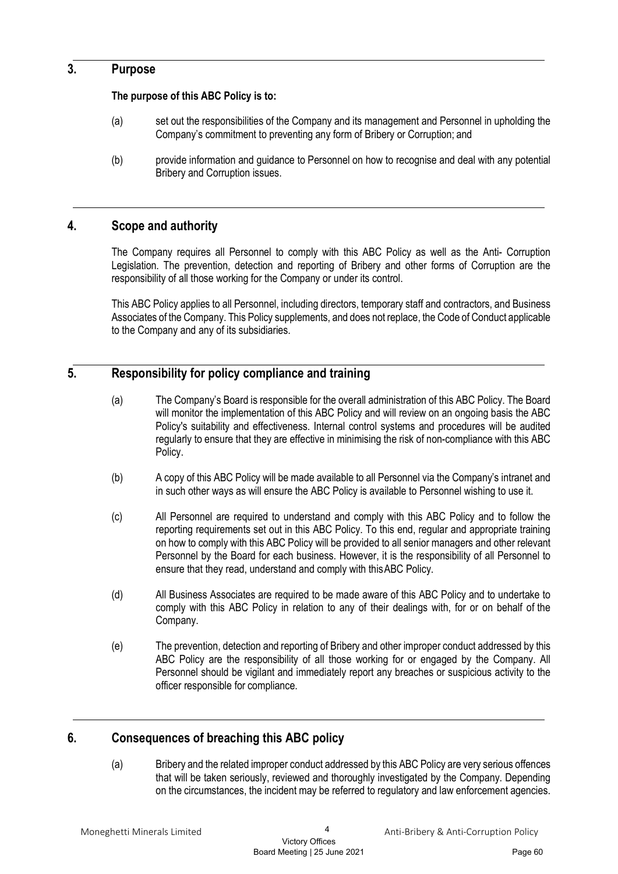## 3. Purpose

## The purpose of this ABC Policy is to:

- (a) set out the responsibilities of the Company and its management and Personnel in upholding the Company's commitment to preventing any form of Bribery or Corruption; and
- (b) provide information and guidance to Personnel on how to recognise and deal with any potential Bribery and Corruption issues.

# 4. Scope and authority

The Company requires all Personnel to comply with this ABC Policy as well as the Anti- Corruption Legislation. The prevention, detection and reporting of Bribery and other forms of Corruption are the responsibility of all those working for the Company or under its control.

This ABC Policy applies to all Personnel, including directors, temporary staff and contractors, and Business Associates of the Company. This Policy supplements, and does not replace, the Code of Conduct applicable to the Company and any of its subsidiaries.

# 5. Responsibility for policy compliance and training

- (a) The Company's Board is responsible for the overall administration of this ABC Policy. The Board will monitor the implementation of this ABC Policy and will review on an ongoing basis the ABC Policy's suitability and effectiveness. Internal control systems and procedures will be audited regularly to ensure that they are effective in minimising the risk of non-compliance with this ABC Policy.
- (b) A copy of this ABC Policy will be made available to all Personnel via the Company's intranet and in such other ways as will ensure the ABC Policy is available to Personnel wishing to use it.
- (c) All Personnel are required to understand and comply with this ABC Policy and to follow the reporting requirements set out in this ABC Policy. To this end, regular and appropriate training on how to comply with this ABC Policy will be provided to all senior managers and other relevant Personnel by the Board for each business. However, it is the responsibility of all Personnel to ensure that they read, understand and comply with this ABC Policy.
- (d) All Business Associates are required to be made aware of this ABC Policy and to undertake to comply with this ABC Policy in relation to any of their dealings with, for or on behalf of the Company.
- (e) The prevention, detection and reporting of Bribery and other improper conduct addressed by this ABC Policy are the responsibility of all those working for or engaged by the Company. All Personnel should be vigilant and immediately report any breaches or suspicious activity to the officer responsible for compliance.

# 6. Consequences of breaching this ABC policy

(a) Bribery and the related improper conduct addressed by this ABC Policy are very serious offences that will be taken seriously, reviewed and thoroughly investigated by the Company. Depending on the circumstances, the incident may be referred to regulatory and law enforcement agencies.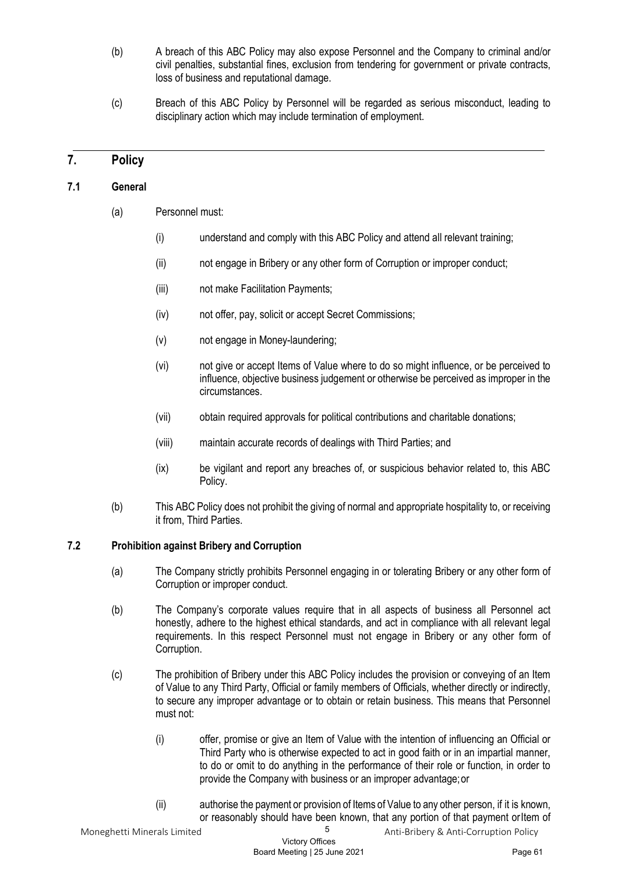- (b) A breach of this ABC Policy may also expose Personnel and the Company to criminal and/or civil penalties, substantial fines, exclusion from tendering for government or private contracts, loss of business and reputational damage.
- (c) Breach of this ABC Policy by Personnel will be regarded as serious misconduct, leading to disciplinary action which may include termination of employment.

## 7. Policy

#### 7.1 General

- (a) Personnel must:
	- (i) understand and comply with this ABC Policy and attend all relevant training;
	- (ii) not engage in Bribery or any other form of Corruption or improper conduct;
	- (iii) not make Facilitation Payments;
	- (iv) not offer, pay, solicit or accept Secret Commissions;
	- (v) not engage in Money-laundering;
	- (vi) not give or accept Items of Value where to do so might influence, or be perceived to influence, objective business judgement or otherwise be perceived as improper in the circumstances.
	- (vii) obtain required approvals for political contributions and charitable donations;
	- (viii) maintain accurate records of dealings with Third Parties; and
	- (ix) be vigilant and report any breaches of, or suspicious behavior related to, this ABC Policy.
- (b) This ABC Policy does not prohibit the giving of normal and appropriate hospitality to, or receiving it from, Third Parties.

## 7.2 Prohibition against Bribery and Corruption

- (a) The Company strictly prohibits Personnel engaging in or tolerating Bribery or any other form of Corruption or improper conduct.
- (b) The Company's corporate values require that in all aspects of business all Personnel act honestly, adhere to the highest ethical standards, and act in compliance with all relevant legal requirements. In this respect Personnel must not engage in Bribery or any other form of Corruption.
- (c) The prohibition of Bribery under this ABC Policy includes the provision or conveying of an Item of Value to any Third Party, Official or family members of Officials, whether directly or indirectly, to secure any improper advantage or to obtain or retain business. This means that Personnel must not:
	- (i) offer, promise or give an Item of Value with the intention of influencing an Official or Third Party who is otherwise expected to act in good faith or in an impartial manner, to do or omit to do anything in the performance of their role or function, in order to provide the Company with business or an improper advantage; or
	- (ii) authorise the payment or provision of Items of Value to any other person, if it is known, or reasonably should have been known, that any portion of that payment or Item of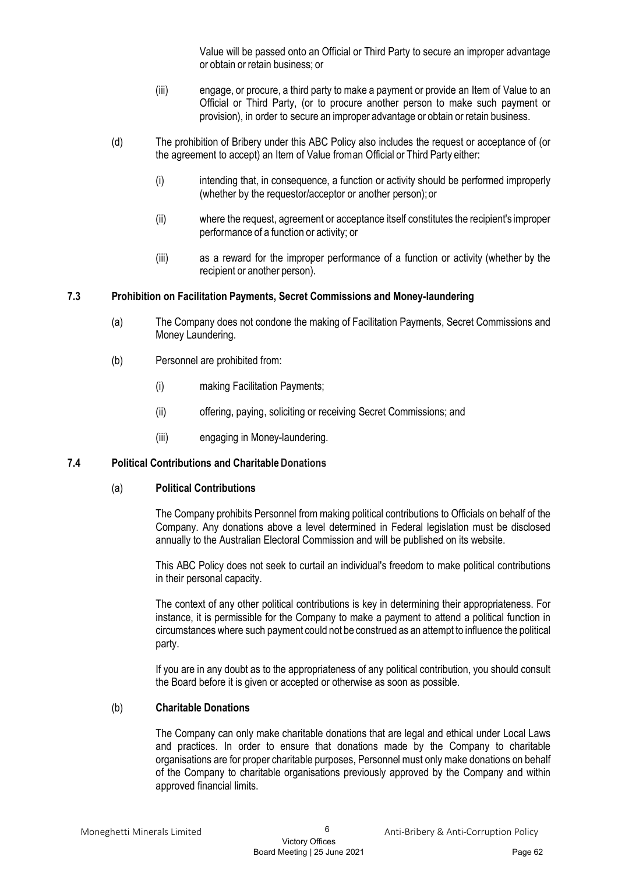Value will be passed onto an Official or Third Party to secure an improper advantage or obtain or retain business; or

- (iii) engage, or procure, a third party to make a payment or provide an Item of Value to an Official or Third Party, (or to procure another person to make such payment or provision), in order to secure an improper advantage or obtain or retain business.
- (d) The prohibition of Bribery under this ABC Policy also includes the request or acceptance of (or the agreement to accept) an Item of Value from an Official or Third Party either:
	- (i) intending that, in consequence, a function or activity should be performed improperly (whether by the requestor/acceptor or another person); or
	- (ii) where the request, agreement or acceptance itself constitutes the recipient's improper performance of a function or activity; or
	- (iii) as a reward for the improper performance of a function or activity (whether by the recipient or another person).

#### 7.3 Prohibition on Facilitation Payments, Secret Commissions and Money-laundering

- (a) The Company does not condone the making of Facilitation Payments, Secret Commissions and Money Laundering.
- (b) Personnel are prohibited from:
	- (i) making Facilitation Payments;
	- (ii) offering, paying, soliciting or receiving Secret Commissions; and
	- (iii) engaging in Money-laundering.

#### 7.4 Political Contributions and Charitable Donations

#### (a) Political Contributions

The Company prohibits Personnel from making political contributions to Officials on behalf of the Company. Any donations above a level determined in Federal legislation must be disclosed annually to the Australian Electoral Commission and will be published on its website.

This ABC Policy does not seek to curtail an individual's freedom to make political contributions in their personal capacity.

The context of any other political contributions is key in determining their appropriateness. For instance, it is permissible for the Company to make a payment to attend a political function in circumstances where such payment could not be construed as an attempt to influence the political party.

If you are in any doubt as to the appropriateness of any political contribution, you should consult the Board before it is given or accepted or otherwise as soon as possible.

#### (b) Charitable Donations

The Company can only make charitable donations that are legal and ethical under Local Laws and practices. In order to ensure that donations made by the Company to charitable organisations are for proper charitable purposes, Personnel must only make donations on behalf of the Company to charitable organisations previously approved by the Company and within approved financial limits.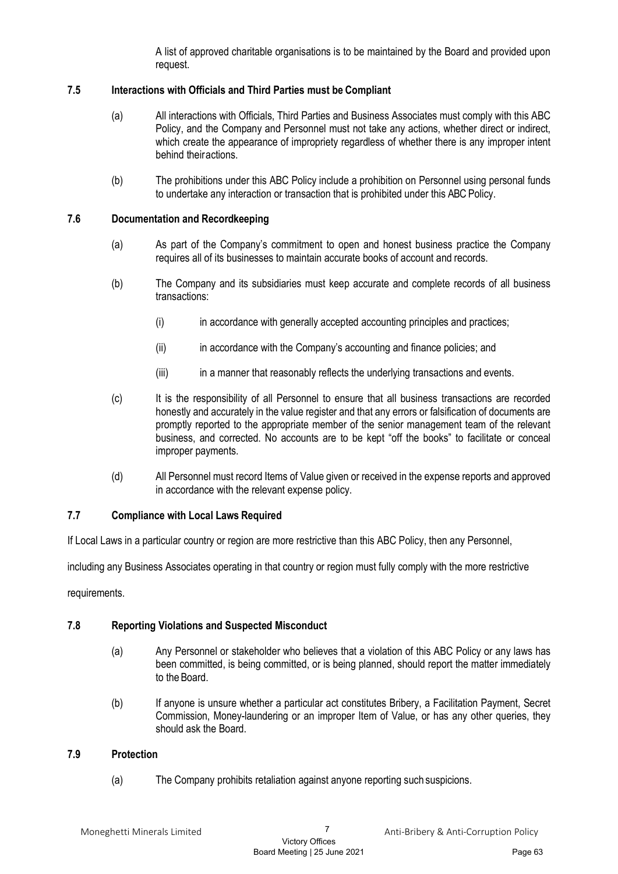A list of approved charitable organisations is to be maintained by the Board and provided upon request.

## 7.5 Interactions with Officials and Third Parties must be Compliant

- (a) All interactions with Officials, Third Parties and Business Associates must comply with this ABC Policy, and the Company and Personnel must not take any actions, whether direct or indirect, which create the appearance of impropriety regardless of whether there is any improper intent behind their actions.
- (b) The prohibitions under this ABC Policy include a prohibition on Personnel using personal funds to undertake any interaction or transaction that is prohibited under this ABC Policy.

#### 7.6 Documentation and Recordkeeping

- (a) As part of the Company's commitment to open and honest business practice the Company requires all of its businesses to maintain accurate books of account and records.
- (b) The Company and its subsidiaries must keep accurate and complete records of all business transactions:
	- (i) in accordance with generally accepted accounting principles and practices;
	- (ii) in accordance with the Company's accounting and finance policies; and
	- (iii) in a manner that reasonably reflects the underlying transactions and events.
- (c) It is the responsibility of all Personnel to ensure that all business transactions are recorded honestly and accurately in the value register and that any errors or falsification of documents are promptly reported to the appropriate member of the senior management team of the relevant business, and corrected. No accounts are to be kept "off the books" to facilitate or conceal improper payments.
- (d) All Personnel must record Items of Value given or received in the expense reports and approved in accordance with the relevant expense policy.

## 7.7 Compliance with Local Laws Required

If Local Laws in a particular country or region are more restrictive than this ABC Policy, then any Personnel,

including any Business Associates operating in that country or region must fully comply with the more restrictive

requirements.

## 7.8 Reporting Violations and Suspected Misconduct

- (a) Any Personnel or stakeholder who believes that a violation of this ABC Policy or any laws has been committed, is being committed, or is being planned, should report the matter immediately to the Board.
- (b) If anyone is unsure whether a particular act constitutes Bribery, a Facilitation Payment, Secret Commission, Money-laundering or an improper Item of Value, or has any other queries, they should ask the Board.

#### 7.9 Protection

(a) The Company prohibits retaliation against anyone reporting such suspicions.